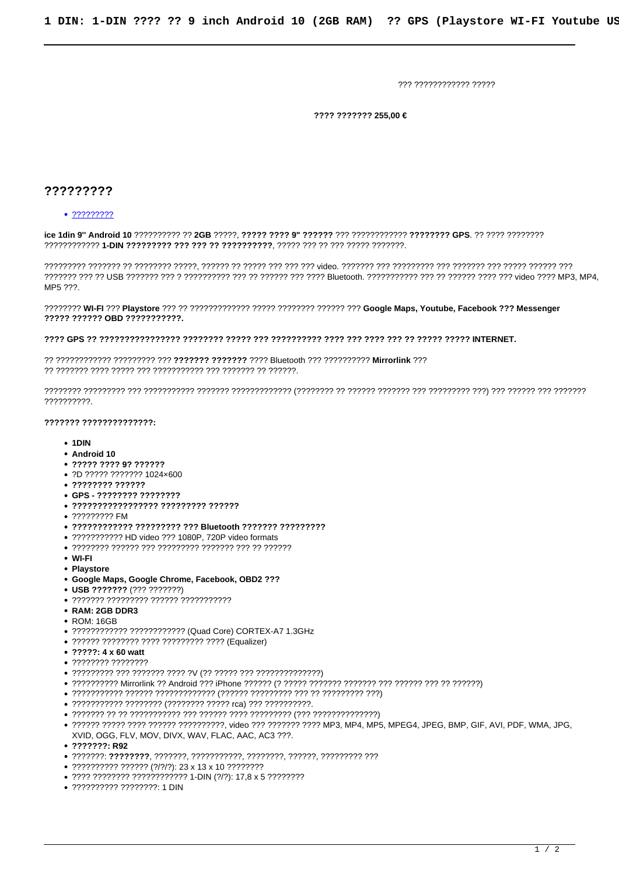777 777777777777 77777

???? ??????? 255,00 €

## 777777777

## $.222222222$

MP5 ???.

????? ?????? OBD ???????????.

## 

דררררר ררך רררררך רירך ררך הריכון ריך בריכון ריכון לי הריכון ריכון בריכון ליומן הריכון ליומן הריכון ליו בריכון ליומן בריכון ליומן ??????????.

## ??????? ??????????????

- $\cdot$  1DIN
- Android 10
- 
- ?D ????? ??????? 1024×600
- 
- GPS ???????? ???????? • ????????????????? ???????? ??????
- 222222222 FM
- 
- ???????????? ????????? ??? Bluetooth ??????? ?????????
- ??????????? HD video ??? 1080P. 720P video formats
- 
- $\bullet$  WI-FI
- Playstore
- · Google Maps, Google Chrome, Facebook, OBD2 ???
- USB ??????? (??? ???????)
- 
- RAM: 2GB DDR3
- ROM: 16GB
- ???????????? ???????????? (Quad Core) CORTEX-A7 1.3GHz
- 
- ?????: 4 x 60 watt
- 
- 
- 
- 
- ??????????? ???????? (???????? ????? rca) ??? ???????????
- 
- XVID, OGG, FLV, MOV, DIVX, WAV, FLAC, AAC, AC3 ???.
- $.2222222:R92$
- 
- $\bullet$  ?????????? ?????? (?/?/?): 23 x 13 x 10 ????????
- ???? ???????? ???????????? 1-DIN (?/?): 17,8 x 5 ????????
- ?????????? ????????: 1 DIN